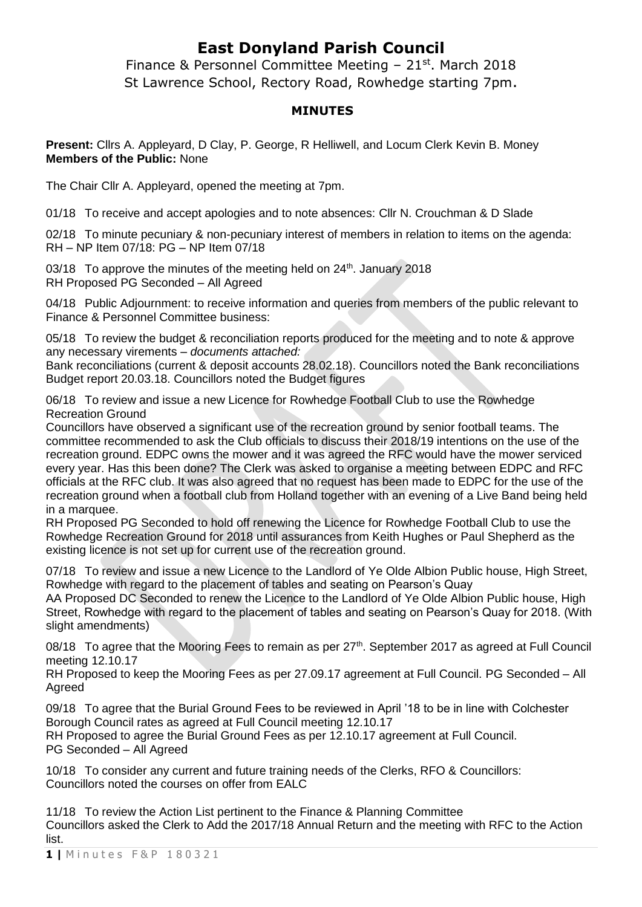## **East Donyland Parish Council**

Finance & Personnel Committee Meeting – 21st. March 2018 St Lawrence School, Rectory Road, Rowhedge starting 7pm.

## **MINUTES**

**Present:** Cllrs A. Appleyard, D Clay, P. George, R Helliwell, and Locum Clerk Kevin B. Money **Members of the Public:** None

The Chair Cllr A. Appleyard, opened the meeting at 7pm.

01/18 To receive and accept apologies and to note absences: Cllr N. Crouchman & D Slade

02/18 To minute pecuniary & non-pecuniary interest of members in relation to items on the agenda: RH – NP Item 07/18: PG – NP Item 07/18

03/18 To approve the minutes of the meeting held on  $24<sup>th</sup>$ . January 2018 RH Proposed PG Seconded – All Agreed

04/18 Public Adjournment: to receive information and queries from members of the public relevant to Finance & Personnel Committee business:

05/18 To review the budget & reconciliation reports produced for the meeting and to note & approve any necessary virements – *documents attached:*

Bank reconciliations (current & deposit accounts 28.02.18). Councillors noted the Bank reconciliations Budget report 20.03.18. Councillors noted the Budget figures

06/18 To review and issue a new Licence for Rowhedge Football Club to use the Rowhedge Recreation Ground

Councillors have observed a significant use of the recreation ground by senior football teams. The committee recommended to ask the Club officials to discuss their 2018/19 intentions on the use of the recreation ground. EDPC owns the mower and it was agreed the RFC would have the mower serviced every year. Has this been done? The Clerk was asked to organise a meeting between EDPC and RFC officials at the RFC club. It was also agreed that no request has been made to EDPC for the use of the recreation ground when a football club from Holland together with an evening of a Live Band being held in a marquee.

RH Proposed PG Seconded to hold off renewing the Licence for Rowhedge Football Club to use the Rowhedge Recreation Ground for 2018 until assurances from Keith Hughes or Paul Shepherd as the existing licence is not set up for current use of the recreation ground.

07/18 To review and issue a new Licence to the Landlord of Ye Olde Albion Public house, High Street, Rowhedge with regard to the placement of tables and seating on Pearson's Quay

AA Proposed DC Seconded to renew the Licence to the Landlord of Ye Olde Albion Public house, High Street, Rowhedge with regard to the placement of tables and seating on Pearson's Quay for 2018. (With slight amendments)

08/18 To agree that the Mooring Fees to remain as per 27<sup>th</sup>. September 2017 as agreed at Full Council meeting 12.10.17

RH Proposed to keep the Mooring Fees as per 27.09.17 agreement at Full Council. PG Seconded – All Agreed

09/18 To agree that the Burial Ground Fees to be reviewed in April '18 to be in line with Colchester Borough Council rates as agreed at Full Council meeting 12.10.17 RH Proposed to agree the Burial Ground Fees as per 12.10.17 agreement at Full Council.

PG Seconded – All Agreed

10/18 To consider any current and future training needs of the Clerks, RFO & Councillors: Councillors noted the courses on offer from EALC

11/18 To review the Action List pertinent to the Finance & Planning Committee Councillors asked the Clerk to Add the 2017/18 Annual Return and the meeting with RFC to the Action list.